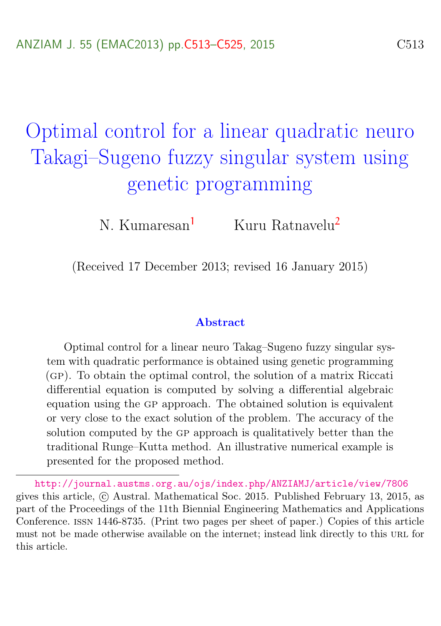# <span id="page-0-0"></span>Optimal control for a linear quadratic neuro Takagi–Sugeno fuzzy singular system using genetic programming

N. Kumaresan<sup>[1](#page-12-1)</sup> Kuru Ratnavelu<sup>[2](#page-12-0)</sup>

(Received 17 December 2013; revised 16 January 2015)

#### Abstract

Optimal control for a linear neuro Takag–Sugeno fuzzy singular system with quadratic performance is obtained using genetic programming (gp). To obtain the optimal control, the solution of a matrix Riccati differential equation is computed by solving a differential algebraic equation using the gp approach. The obtained solution is equivalent or very close to the exact solution of the problem. The accuracy of the solution computed by the GP approach is qualitatively better than the traditional Runge–Kutta method. An illustrative numerical example is presented for the proposed method.

<http://journal.austms.org.au/ojs/index.php/ANZIAMJ/article/view/7806> gives this article, c Austral. Mathematical Soc. 2015. Published February 13, 2015, as part of the Proceedings of the 11th Biennial Engineering Mathematics and Applications Conference. issn 1446-8735. (Print two pages per sheet of paper.) Copies of this article must not be made otherwise available on the internet; instead link directly to this URL for this article.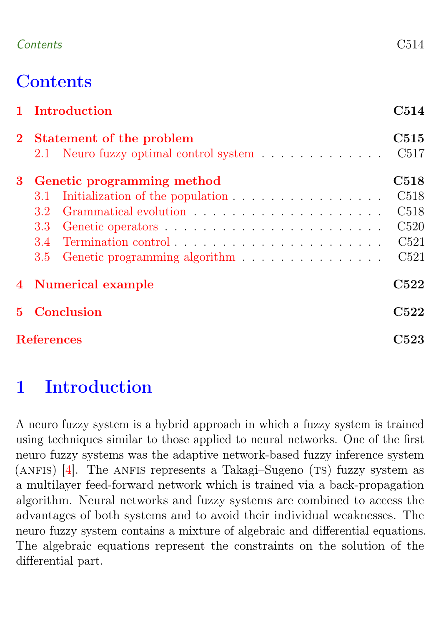#### <span id="page-1-1"></span>Contents C514

# **Contents**

| 1 Introduction |                            |                                  | C514             |  |  |
|----------------|----------------------------|----------------------------------|------------------|--|--|
|                | 2 Statement of the problem |                                  |                  |  |  |
|                |                            |                                  | C <sub>517</sub> |  |  |
| 3 <sup>1</sup> | Genetic programming method |                                  |                  |  |  |
|                | 3.1                        | Initialization of the population | C <sub>518</sub> |  |  |
|                | 3.2                        |                                  | C <sub>518</sub> |  |  |
|                | 3.3                        |                                  | C520             |  |  |
|                | 3.4                        |                                  | C521             |  |  |
|                | 3.5 <sub>1</sub>           |                                  | C521             |  |  |
|                | 4 Numerical example        |                                  | C522             |  |  |
| $5 -$          | Conclusion                 |                                  |                  |  |  |
|                | <b>References</b>          |                                  |                  |  |  |

# <span id="page-1-0"></span>1 Introduction

A neuro fuzzy system is a hybrid approach in which a fuzzy system is trained using techniques similar to those applied to neural networks. One of the first neuro fuzzy systems was the adaptive network-based fuzzy inference system (ANFIS)  $[4]$ . The ANFIS represents a Takagi–Sugeno (TS) fuzzy system as a multilayer feed-forward network which is trained via a back-propagation algorithm. Neural networks and fuzzy systems are combined to access the advantages of both systems and to avoid their individual weaknesses. The neuro fuzzy system contains a mixture of algebraic and differential equations. The algebraic equations represent the constraints on the solution of the differential part.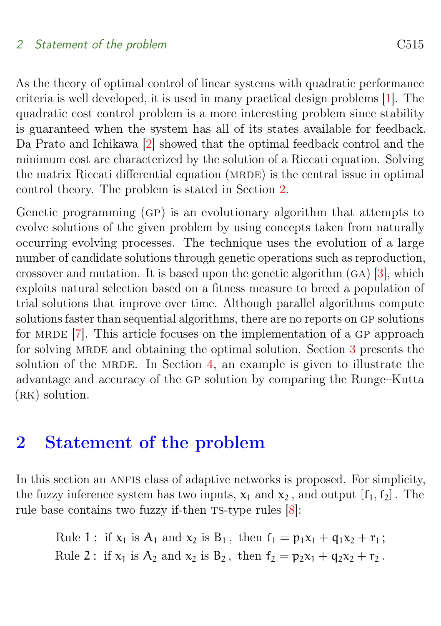#### <span id="page-2-1"></span>2 Statement of the problem C515

As the theory of optimal control of linear systems with quadratic performance criteria is well developed, it is used in many practical design problems [\[1\]](#page-10-1). The quadratic cost control problem is a more interesting problem since stability is guaranteed when the system has all of its states available for feedback. Da Prato and Ichikawa [\[2\]](#page-11-1) showed that the optimal feedback control and the minimum cost are characterized by the solution of a Riccati equation. Solving the matrix Riccati differential equation (MRDE) is the central issue in optimal control theory. The problem is stated in Section [2.](#page-2-0)

Genetic programming (gp) is an evolutionary algorithm that attempts to evolve solutions of the given problem by using concepts taken from naturally occurring evolving processes. The technique uses the evolution of a large number of candidate solutions through genetic operations such as reproduction, crossover and mutation. It is based upon the genetic algorithm (ga) [\[3\]](#page-11-2), which exploits natural selection based on a fitness measure to breed a population of trial solutions that improve over time. Although parallel algorithms compute solutions faster than sequential algorithms, there are no reports on GP solutions for MRDE  $[7]$ . This article focuses on the implementation of a GP approach for solving MRDE and obtaining the optimal solution. Section [3](#page-5-0) presents the solution of the MRDE. In Section [4,](#page-8-2) an example is given to illustrate the advantage and accuracy of the gp solution by comparing the Runge–Kutta  $(RK)$  solution.

## <span id="page-2-0"></span>2 Statement of the problem

In this section an ANFIS class of adaptive networks is proposed. For simplicity, the fuzzy inference system has two inputs,  $x_1$  and  $x_2$ , and output  $[f_1, f_2]$ . The rule base contains two fuzzy if-then  $TS$ -type rules  $[8]$ :

Rule 1 : if  $x_1$  is  $A_1$  and  $x_2$  is  $B_1$ , then  $f_1 = p_1x_1 + q_1x_2 + r_1$ ; Rule 2: if  $x_1$  is  $A_2$  and  $x_2$  is  $B_2$ , then  $f_2 = p_2x_1 + q_2x_2 + r_2$ .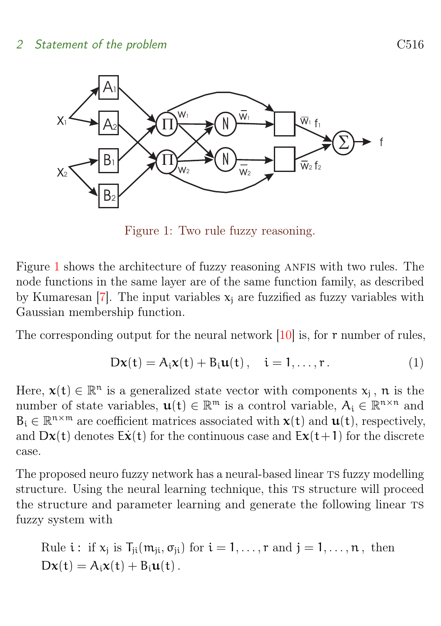<span id="page-3-1"></span>

<span id="page-3-0"></span>Figure 1: Two rule fuzzy reasoning.

Figure [1](#page-3-0) shows the architecture of fuzzy reasoning ANFIS with two rules. The node functions in the same layer are of the same function family, as described by Kumaresan [\[7\]](#page-11-3). The input variables  $x_i$  are fuzzified as fuzzy variables with Gaussian membership function.

The corresponding output for the neural network  $[10]$  is, for  $r$  number of rules,

$$
D\mathbf{x}(t) = A_i \mathbf{x}(t) + B_i \mathbf{u}(t) , \quad i = 1, \dots, r .
$$
 (1)

Here,  $\mathbf{x}(t) \in \mathbb{R}^n$  is a generalized state vector with components  $x_j$ , n is the number of state variables,  $u(t) \in \mathbb{R}^m$  is a control variable,  $A_i \in \mathbb{R}^{n \times n}$  and  $B_i \in \mathbb{R}^{n \times m}$  are coefficient matrices associated with  $x(t)$  and  $u(t)$ , respectively, and  $Dx(t)$  denotes  $E\dot{x}(t)$  for the continuous case and  $Ex(t+1)$  for the discrete case.

The proposed neuro fuzzy network has a neural-based linear TS fuzzy modelling structure. Using the neural learning technique, this TS structure will proceed the structure and parameter learning and generate the following linear ts fuzzy system with

Rule 
$$
i
$$
: if  $x_j$  is  $T_{ji}(m_{ji}, \sigma_{ji})$  for  $i = 1, ..., r$  and  $j = 1, ..., n$ , then  $Dx(t) = A_i x(t) + B_i u(t)$ .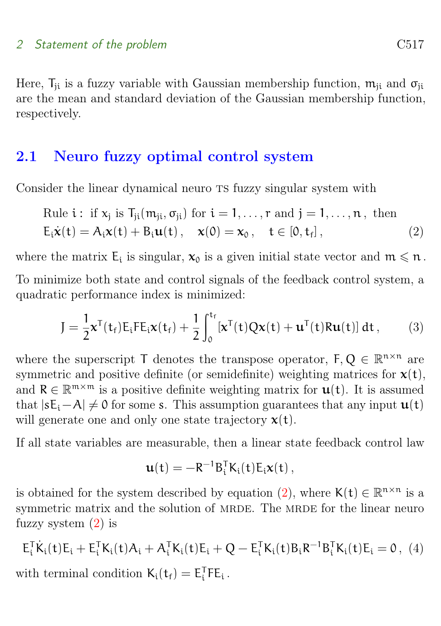Here,  $T_{ii}$  is a fuzzy variable with Gaussian membership function,  $m_{ii}$  and  $\sigma_{ii}$ are the mean and standard deviation of the Gaussian membership function, respectively.

### <span id="page-4-0"></span>2.1 Neuro fuzzy optimal control system

Consider the linear dynamical neuro TS fuzzy singular system with

Rule i: if 
$$
x_j
$$
 is  $T_{ji}(m_{ji}, \sigma_{ji})$  for  $i = 1, ..., r$  and  $j = 1, ..., n$ , then  
\n $E_i \dot{x}(t) = A_i x(t) + B_i u(t), \quad x(0) = x_0, \quad t \in [0, t_f],$  (2)

where the matrix  $E_i$  is singular,  $x_0$  is a given initial state vector and  $m \leq n$ .

To minimize both state and control signals of the feedback control system, a quadratic performance index is minimized:

<span id="page-4-2"></span>
$$
J = \frac{1}{2} \mathbf{x}^{T}(\mathbf{t}_{f}) E_{i} F E_{i} \mathbf{x}(\mathbf{t}_{f}) + \frac{1}{2} \int_{0}^{\mathbf{t}_{f}} [\mathbf{x}^{T}(\mathbf{t}) Q \mathbf{x}(\mathbf{t}) + \mathbf{u}^{T}(\mathbf{t}) R \mathbf{u}(\mathbf{t})] d\mathbf{t}, \qquad (3)
$$

where the superscript  $\mathsf{T}$  denotes the transpose operator,  $\mathsf{F}, \mathsf{Q} \in \mathbb{R}^{n \times n}$  are symmetric and positive definite (or semidefinite) weighting matrices for  $\mathbf{x}(t)$ , and  $R \in \mathbb{R}^{m \times m}$  is a positive definite weighting matrix for  $\mathbf{u}(t)$ . It is assumed that  $|sE_i-A| \neq 0$  for some s. This assumption guarantees that any input  $\mathbf{u}(t)$ will generate one and only one state trajectory  $x(t)$ .

If all state variables are measurable, then a linear state feedback control law

<span id="page-4-1"></span>
$$
\mathbf{u}(t) = -R^{-1}B_i^T K_i(t) E_i \mathbf{x}(t) \,,
$$

is obtained for the system described by equation [\(2\)](#page-4-1), where  $\mathsf{K}(\mathsf{t}) \in \mathbb{R}^{n \times n}$  is a symmetric matrix and the solution of MRDE. The MRDE for the linear neuro fuzzy system [\(2\)](#page-4-1) is

$$
E_i^T \dot{K}_i(t) E_i + E_i^T K_i(t) A_i + A_i^T K_i(t) E_i + Q - E_i^T K_i(t) B_i R^{-1} B_i^T K_i(t) E_i = 0, \tag{4}
$$

with terminal condition  $K_i(t_f) = E_i^T F E_i$ .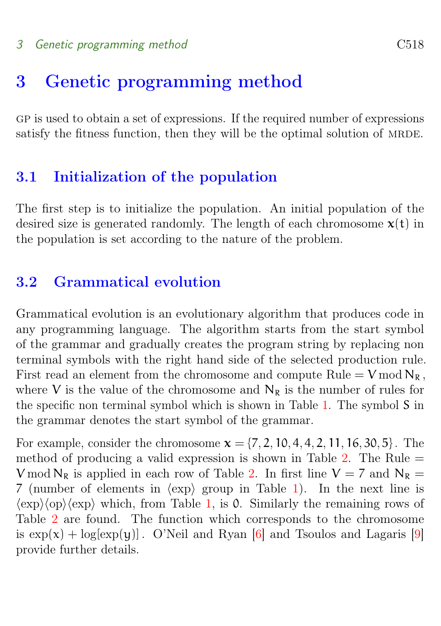#### <span id="page-5-3"></span>3 Genetic programming method C518

## <span id="page-5-0"></span>3 Genetic programming method

gp is used to obtain a set of expressions. If the required number of expressions satisfy the fitness function, then they will be the optimal solution of MRDE.

#### <span id="page-5-1"></span>3.1 Initialization of the population

The first step is to initialize the population. An initial population of the desired size is generated randomly. The length of each chromosome  $x(t)$  in the population is set according to the nature of the problem.

## <span id="page-5-2"></span>3.2 Grammatical evolution

Grammatical evolution is an evolutionary algorithm that produces code in any programming language. The algorithm starts from the start symbol of the grammar and gradually creates the program string by replacing non terminal symbols with the right hand side of the selected production rule. First read an element from the chromosome and compute  $Rule = V \mod N_R$ , where V is the value of the chromosome and  $N_R$  is the number of rules for the specific non terminal symbol which is shown in Table [1.](#page-6-0) The symbol S in the grammar denotes the start symbol of the grammar.

For example, consider the chromosome  $x = \{7, 2, 10, 4, 4, 2, 11, 16, 30, 5\}$ . The method of producing a valid expression is shown in Table  $2$ . The Rule  $=$ V mod  $N_R$  is applied in each row of Table [2.](#page-7-1) In first line  $V = 7$  and  $N_R =$ 7 (number of elements in  $\langle \exp \rangle$  group in Table [1\)](#page-6-0). In the next line is  $\langle \exp \rangle \langle \exp \rangle \langle \exp \rangle$  which, from Table [1,](#page-6-0) is 0. Similarly the remaining rows of Table [2](#page-7-1) are found. The function which corresponds to the chromosome is  $\exp(x) + \log[\exp(y)]$ . O'Neil and Ryan [\[6\]](#page-11-5) and Tsoulos and Lagaris [\[9\]](#page-11-6) provide further details.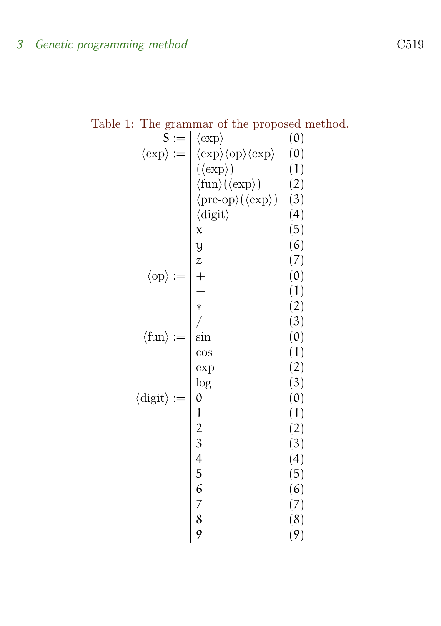Table 1: The grammar of the proposed method.

<span id="page-6-0"></span>

| ◡<br>$\mathsf S$<br>$:=$          | $\langle \exp \rangle$                                                                                | (0)                         |
|-----------------------------------|-------------------------------------------------------------------------------------------------------|-----------------------------|
| $\langle \exp \rangle :=$         | $\langle \exp \rangle \langle \overline{\mathrm{op}} \rangle \langle \overline{\mathrm{exp}} \rangle$ | $\overline{(0)}$            |
|                                   | $(\langle \exp \rangle)$                                                                              | (1)                         |
|                                   | $\langle \text{fun} \rangle (\langle \text{exp} \rangle)$                                             | (2)                         |
|                                   | $\langle \text{pre-op}\rangle(\langle \text{exp}\rangle)$                                             | (3)                         |
|                                   | $\langle$ digit $\rangle$                                                                             | (4)                         |
|                                   | $\chi$                                                                                                | (5)                         |
|                                   | $\mathfrak y$                                                                                         | (6)                         |
|                                   | $\overline{z}$                                                                                        | (7)                         |
| $\langle$ op $\rangle$ :=         | $\overline{+}$                                                                                        | $\overline{(0)}$            |
|                                   |                                                                                                       | (1)                         |
|                                   | $\ast$                                                                                                | (2)                         |
|                                   | $\sqrt{2}$                                                                                            | (3)                         |
| $\langle \text{fun} \rangle :=$   | $\sin$                                                                                                | $\overline{(\mathfrak{0})}$ |
|                                   | $\cos$                                                                                                | (1)                         |
|                                   | exp                                                                                                   | (2)                         |
|                                   | $\log$                                                                                                | (3)                         |
| $\langle$ digit $\rangle$<br>$:=$ | 0                                                                                                     | (0)                         |
|                                   | 1                                                                                                     | (1)                         |
|                                   | $\frac{2}{3}$                                                                                         | (2)                         |
|                                   |                                                                                                       | (3)                         |
|                                   | $\overline{4}$                                                                                        | (4)                         |
|                                   | 5                                                                                                     | (5)                         |
|                                   | 6<br>$\overline{7}$                                                                                   | (6)                         |
|                                   | 8                                                                                                     | (7)                         |
|                                   | 9                                                                                                     | (8)                         |
|                                   |                                                                                                       | (9)                         |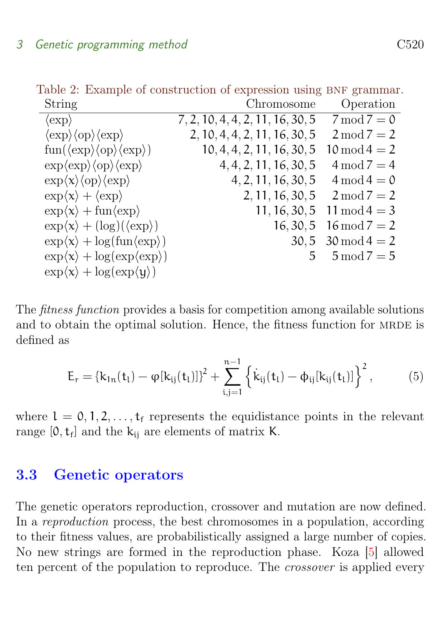<span id="page-7-3"></span><span id="page-7-1"></span>Table 2: Example of construction of expression using BNF grammar.

| String                                                                                        | Chromosome                       | Operation                  |
|-----------------------------------------------------------------------------------------------|----------------------------------|----------------------------|
| $\langle \exp \rangle$                                                                        | 7, 2, 10, 4, 4, 2, 11, 16, 30, 5 | $7 \mod 7 = 0$             |
| $\langle \exp \rangle \langle \exp \rangle \langle \exp \rangle$                              | 2, 10, 4, 4, 2, 11, 16, 30, 5    | $2 \mod 7 = 2$             |
| $\text{fun}(\langle \text{exp} \rangle \langle \text{op} \rangle \langle \text{exp} \rangle)$ | 10, 4, 4, 2, 11, 16, 30, 5       | $10 \mod 4 = 2$            |
| $\exp\langle \exp \rangle \langle \exp \rangle \langle \exp \rangle$                          | 4, 4, 2, 11, 16, 30, 5           | $4 \mod 7 = 4$             |
| $\exp\langle x\rangle\langle op\rangle\langle exp\rangle$                                     | 4, 2, 11, 16, 30, 5              | $4 \mod 4 = 0$             |
| $\exp\langle x\rangle + \langle \exp \rangle$                                                 | 2, 11, 16, 30, 5                 | $2 \mod 7 = 2$             |
| $\exp\langle x\rangle + \operatorname{fun}\langle \exp \rangle$                               | 11, 16, 30, 5                    | $11 \mod 4 = 3$            |
| $\exp\langle x\rangle + (\log)(\langle \exp \rangle)$                                         | 16, 30, 5                        | $16 \mod 7 = 2$            |
| $\exp\langle x \rangle + \log(\text{fun}\langle \exp \rangle)$                                |                                  | $30,5 \quad 30 \mod 4 = 2$ |
| $\exp\langle x\rangle + \log(\exp\langle \exp \rangle)$                                       | $5 -$                            | $5 \mod 7 = 5$             |
| $\exp\langle x\rangle + \log(\exp\langle y\rangle)$                                           |                                  |                            |

The fitness function provides a basis for competition among available solutions and to obtain the optimal solution. Hence, the fitness function for MRDE is defined as

<span id="page-7-2"></span>
$$
E_{r} = \{k_{1n}(t_{l}) - \varphi[k_{ij}(t_{l})]\}^{2} + \sum_{i,j=1}^{n-1} \left\{ \dot{k}_{ij}(t_{l}) - \varphi_{ij}[k_{ij}(t_{l})] \right\}^{2},
$$
 (5)

where  $l = 0, 1, 2, \ldots, t_f$  represents the equidistance points in the relevant range  $[0, t_f]$  and the  $k_{ij}$  are elements of matrix K.

### <span id="page-7-0"></span>3.3 Genetic operators

The genetic operators reproduction, crossover and mutation are now defined. In a reproduction process, the best chromosomes in a population, according to their fitness values, are probabilistically assigned a large number of copies. No new strings are formed in the reproduction phase. Koza [\[5\]](#page-11-7) allowed ten percent of the population to reproduce. The *crossover* is applied every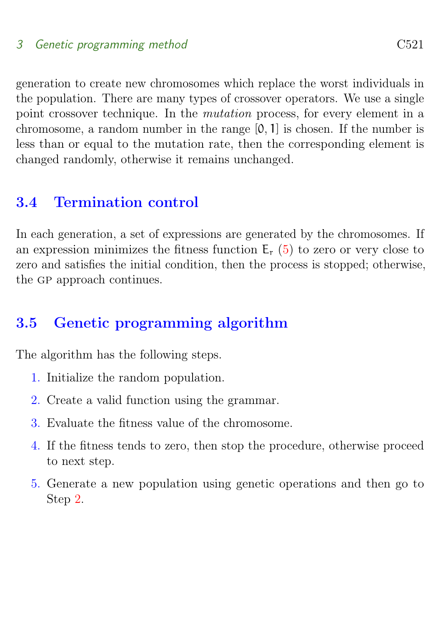#### 3 Genetic programming method C521

generation to create new chromosomes which replace the worst individuals in the population. There are many types of crossover operators. We use a single point crossover technique. In the mutation process, for every element in a chromosome, a random number in the range [0, 1] is chosen. If the number is less than or equal to the mutation rate, then the corresponding element is changed randomly, otherwise it remains unchanged.

### <span id="page-8-0"></span>3.4 Termination control

In each generation, a set of expressions are generated by the chromosomes. If an expression minimizes the fitness function  $E_r$  [\(5\)](#page-7-2) to zero or very close to zero and satisfies the initial condition, then the process is stopped; otherwise, the GP approach continues.

### <span id="page-8-1"></span>3.5 Genetic programming algorithm

The algorithm has the following steps.

- 1. Initialize the random population.
- <span id="page-8-3"></span>2. Create a valid function using the grammar.
- 3. Evaluate the fitness value of the chromosome.
- 4. If the fitness tends to zero, then stop the procedure, otherwise proceed to next step.
- <span id="page-8-2"></span>5. Generate a new population using genetic operations and then go to Step [2.](#page-8-3)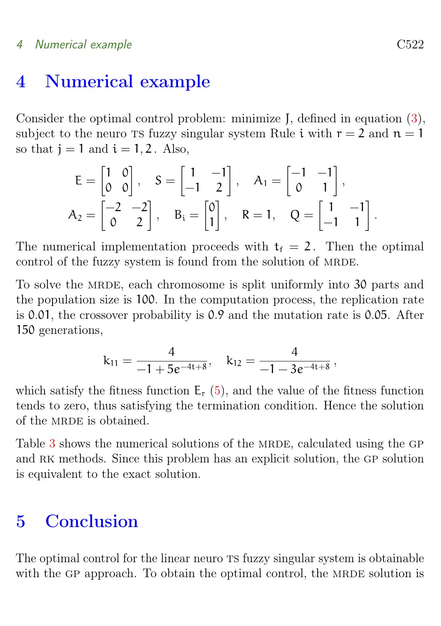#### 4 Numerical example C522

## 4 Numerical example

Consider the optimal control problem: minimize J, defined in equation [\(3\)](#page-4-2), subject to the neuro TS fuzzy singular system Rule i with  $r = 2$  and  $n = 1$ so that  $i = 1$  and  $i = 1, 2$ . Also,

$$
E = \begin{bmatrix} 1 & 0 \\ 0 & 0 \end{bmatrix}, \quad S = \begin{bmatrix} 1 & -1 \\ -1 & 2 \end{bmatrix}, \quad A_1 = \begin{bmatrix} -1 & -1 \\ 0 & 1 \end{bmatrix},
$$
  

$$
A_2 = \begin{bmatrix} -2 & -2 \\ 0 & 2 \end{bmatrix}, \quad B_i = \begin{bmatrix} 0 \\ 1 \end{bmatrix}, \quad R = 1, \quad Q = \begin{bmatrix} 1 & -1 \\ -1 & 1 \end{bmatrix}.
$$

The numerical implementation proceeds with  $t_f = 2$ . Then the optimal control of the fuzzy system is found from the solution of MRDE.

To solve the MRDE, each chromosome is split uniformly into 30 parts and the population size is 100. In the computation process, the replication rate is 0.01, the crossover probability is 0.9 and the mutation rate is 0.05. After 150 generations,

$$
k_{11}=\frac{4}{-1+5e^{-4t+8}},\quad k_{12}=\frac{4}{-1-3e^{-4t+8}}\,,
$$

which satisfy the fitness function  $E_r$  [\(5\)](#page-7-2), and the value of the fitness function tends to zero, thus satisfying the termination condition. Hence the solution of the MRDE is obtained.

Table  $3$  shows the numerical solutions of the MRDE, calculated using the GP and RK methods. Since this problem has an explicit solution, the GP solution is equivalent to the exact solution.

## <span id="page-9-0"></span>5 Conclusion

The optimal control for the linear neuro TS fuzzy singular system is obtainable with the GP approach. To obtain the optimal control, the MRDE solution is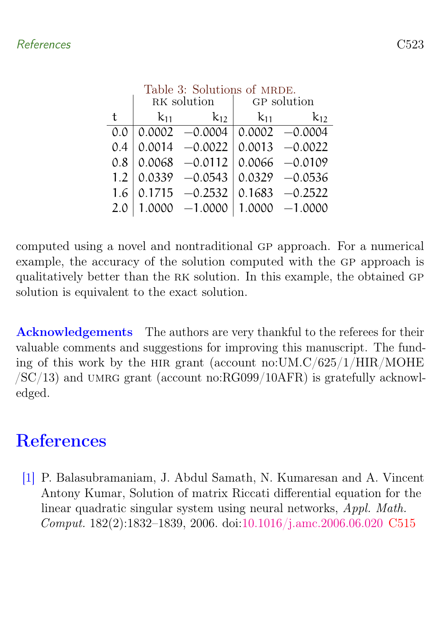<span id="page-10-2"></span>

|     | RK solution |                                        | GP solution |                     |
|-----|-------------|----------------------------------------|-------------|---------------------|
| t   | $k_{11}$    | $k_{12}$                               | $k_{11}$    | $k_{12}$            |
| 0.0 |             | $0.0002 -0.0004$ $0.0002 -0.0004$      |             |                     |
| 0.4 |             | $0.0014 - 0.0022 \mid 0.0013 - 0.0022$ |             |                     |
| 0.8 |             | $0.0068$ -0.0112 0.0066 -0.0109        |             |                     |
| 1.2 |             |                                        |             |                     |
| 1.6 |             | $0.1715 -0.2532 \mid 0.1683 -0.2522$   |             |                     |
| 2.0 |             | $1.0000 - 1.0000$                      |             | $ 1.0000 - 1.0000 $ |

computed using a novel and nontraditional gp approach. For a numerical example, the accuracy of the solution computed with the GP approach is qualitatively better than the rk solution. In this example, the obtained gp solution is equivalent to the exact solution.

Acknowledgements The authors are very thankful to the referees for their valuable comments and suggestions for improving this manuscript. The funding of this work by the hir grant (account no:UM.C/625/1/HIR/MOHE  $/SC/13$ ) and UMRG grant (account no:RG099/10AFR) is gratefully acknowledged.

# <span id="page-10-0"></span>References

<span id="page-10-1"></span>[1] P. Balasubramaniam, J. Abdul Samath, N. Kumaresan and A. Vincent Antony Kumar, Solution of matrix Riccati differential equation for the linear quadratic singular system using neural networks, Appl. Math. Comput. 182(2):1832–1839, 2006. doi[:10.1016/j.amc.2006.06.020](http://dx.doi.org/10.1016/j.amc.2006.06.020) [C515](#page-2-1)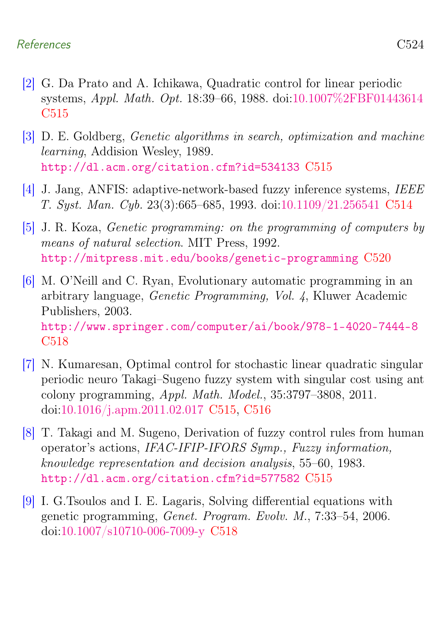#### References C524

- <span id="page-11-1"></span>[2] G. Da Prato and A. Ichikawa, Quadratic control for linear periodic systems, Appl. Math. Opt. 18:39–66, 1988. doi[:10.1007%2FBF01443614](http://dx.doi.org/10.1007%2FBF01443614) [C515](#page-2-1)
- <span id="page-11-2"></span>[3] D. E. Goldberg, Genetic algorithms in search, optimization and machine learning, Addision Wesley, 1989. <http://dl.acm.org/citation.cfm?id=534133> [C515](#page-2-1)
- <span id="page-11-0"></span>[4] J. Jang, ANFIS: adaptive-network-based fuzzy inference systems, IEEE T. Syst. Man. Cyb. 23(3):665–685, 1993. doi[:10.1109/21.256541](http://dx.doi.org/10.1109/21.256541) [C514](#page-1-1)
- <span id="page-11-7"></span>[5] J. R. Koza, Genetic programming: on the programming of computers by means of natural selection. MIT Press, 1992. <http://mitpress.mit.edu/books/genetic-programming> [C520](#page-7-3)
- <span id="page-11-5"></span>[6] M. O'Neill and C. Ryan, Evolutionary automatic programming in an arbitrary language, Genetic Programming, Vol. 4, Kluwer Academic Publishers, 2003. <http://www.springer.com/computer/ai/book/978-1-4020-7444-8> [C518](#page-5-3)
- <span id="page-11-3"></span>[7] N. Kumaresan, Optimal control for stochastic linear quadratic singular periodic neuro Takagi–Sugeno fuzzy system with singular cost using ant colony programming, Appl. Math. Model., 35:3797–3808, 2011. doi[:10.1016/j.apm.2011.02.017](http://dx.doi.org/10.1016/j.apm.2011.02.017) [C515,](#page-2-1) [C516](#page-3-1)
- <span id="page-11-4"></span>[8] T. Takagi and M. Sugeno, Derivation of fuzzy control rules from human operator's actions, IFAC-IFIP-IFORS Symp., Fuzzy information, knowledge representation and decision analysis, 55–60, 1983. <http://dl.acm.org/citation.cfm?id=577582> [C515](#page-2-1)
- <span id="page-11-6"></span>[9] I. G.Tsoulos and I. E. Lagaris, Solving differential equations with genetic programming, Genet. Program. Evolv. M., 7:33–54, 2006. doi[:10.1007/s10710-006-7009-y](http://dx.doi.org/10.1007/s10710-006-7009-y) [C518](#page-5-3)